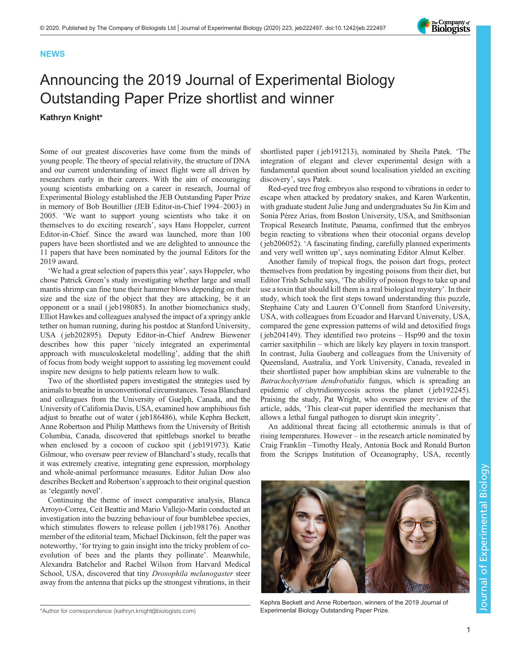## NEWS

## Announcing the 2019 Journal of Experimental Biology Outstanding Paper Prize shortlist and winner Kathryn Knight\*

Some of our greatest discoveries have come from the minds of young people. The theory of special relativity, the structure of DNA and our current understanding of insect flight were all driven by researchers early in their careers. With the aim of encouraging young scientists embarking on a career in research, Journal of Experimental Biology established the JEB Outstanding Paper Prize in memory of Bob Boutillier (JEB Editor-in-Chief 1994–2003) in 2005. 'We want to support young scientists who take it on themselves to do exciting research', says Hans Hoppeler, current Editor-in-Chief. Since the award was launched, more than 100 papers have been shortlisted and we are delighted to announce the 11 papers that have been nominated by the journal Editors for the 2019 award.

'We had a great selection of papers this year', says Hoppeler, who chose Patrick Green's study investigating whether large and small mantis shrimp can fine tune their hammer blows depending on their size and the size of the object that they are attacking, be it an opponent or a snail [\( jeb198085\)](https://jeb.biologists.org/content/222/7/jeb198085). In another biomechanics study, Elliot Hawkes and colleagues analysed the impact of a springy ankle tether on human running, during his postdoc at Stanford University, USA [\( jeb202895\)](https://jeb.biologists.org/content/222/17/jeb202895). Deputy Editor-in-Chief Andrew Biewener describes how this paper 'nicely integrated an experimental approach with musculoskeletal modelling', adding that the shift of focus from body weight support to assisting leg movement could inspire new designs to help patients relearn how to walk.

Two of the shortlisted papers investigated the strategies used by animals to breathe in unconventional circumstances. Tessa Blanchard and colleagues from the University of Guelph, Canada, and the University of California Davis, USA, examined how amphibious fish adjust to breathe out of water [\( jeb186486\)](https://jeb.biologists.org/content/222/2/jeb186486), while Kephra Beckett, Anne Robertson and Philip Matthews from the University of British Columbia, Canada, discovered that spittlebugs snorkel to breathe when enclosed by a cocoon of cuckoo spit [\( jeb191973](https://jeb.biologists.org/content/222/3/jeb191973)). Katie Gilmour, who oversaw peer review of Blanchard's study, recalls that it was extremely creative, integrating gene expression, morphology and whole-animal performance measures. Editor Julian Dow also describes Beckett and Robertson's approach to their original question as 'elegantly novel'.

Continuing the theme of insect comparative analysis, Blanca Arroyo-Correa, Ceit Beattie and Mario Vallejo-Marín conducted an investigation into the buzzing behaviour of four bumblebee species, which stimulates flowers to release pollen [\( jeb198176\)](https://jeb.biologists.org/content/222/4/jeb198176). Another member of the editorial team, Michael Dickinson, felt the paper was noteworthy, 'for trying to gain insight into the tricky problem of coevolution of bees and the plants they pollinate'. Meanwhile, Alexandra Batchelor and Rachel Wilson from Harvard Medical School, USA, discovered that tiny Drosophila melanogaster steer away from the antenna that picks up the strongest vibrations, in their

shortlisted paper [\( jeb191213\)](https://jeb.biologists.org/content/222/3/jeb191213), nominated by Sheila Patek. 'The integration of elegant and clever experimental design with a fundamental question about sound localisation yielded an exciting discovery', says Patek.

Red-eyed tree frog embryos also respond to vibrations in order to escape when attacked by predatory snakes, and Karen Warkentin, with graduate student Julie Jung and undergraduates Su Jin Kim and Sonia Pérez Arias, from Boston University, USA, and Smithsonian Tropical Research Institute, Panama, confirmed that the embryos begin reacting to vibrations when their otoconial organs develop [\( jeb206052\)](https://jeb.biologists.org/content/222/21/jeb206052). 'A fascinating finding, carefully planned experiments and very well written up', says nominating Editor Almut Kelber.

Another family of tropical frogs, the poison dart frogs, protect themselves from predation by ingesting poisons from their diet, but Editor Trish Schulte says, 'The ability of poison frogs to take up and use a toxin that should kill them is a real biological mystery'. In their study, which took the first steps toward understanding this puzzle, Stephaine Caty and Lauren O'Connell from Stanford University, USA, with colleagues from Ecuador and Harvard University, USA, compared the gene expression patterns of wild and detoxified frogs [\( jeb204149\)](https://jeb.biologists.org/content/222/12/jeb204149). They identified two proteins – Hsp90 and the toxin carrier saxitphilin – which are likely key players in toxin transport. In contrast, Julia Gauberg and colleagues from the University of Queensland, Australia, and York University, Canada, revealed in their shortlisted paper how amphibian skins are vulnerable to the Batrachochytrium dendrobatidis fungus, which is spreading an epidemic of chytridiomycosis across the planet ( [jeb192245\)](https://jeb.biologists.org/content/222/3/jeb192245). Praising the study, Pat Wright, who oversaw peer review of the article, adds, 'This clear-cut paper identified the mechanism that allows a lethal fungal pathogen to disrupt skin integrity'.

An additional threat facing all ectothermic animals is that of rising temperatures. However – in the research article nominated by Craig Franklin –Timothy Healy, Antonia Bock and Ronald Burton from the Scripps Institution of Oceanography, USA, recently